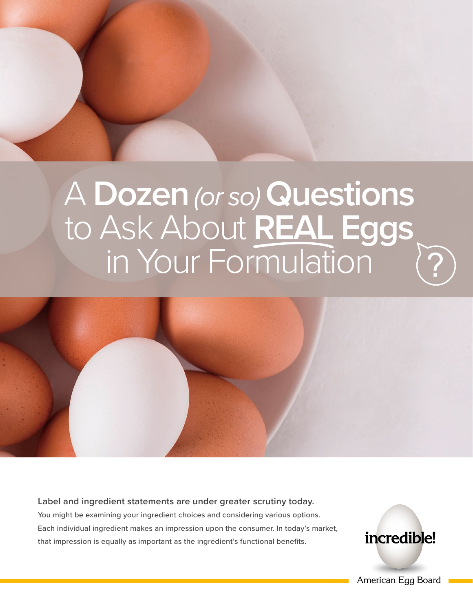# A **Dozen***(or so)***Questions** to Ask About **REAL Eggs** in Your Formulation

**Label and ingredient statements are under greater scrutiny today.**  You might be examining your ingredient choices and considering various options. Each individual ingredient makes an impression upon the consumer. In today's market, that impression is equally as important as the ingredient's functional benefits.

incredible!

?

American Egg Board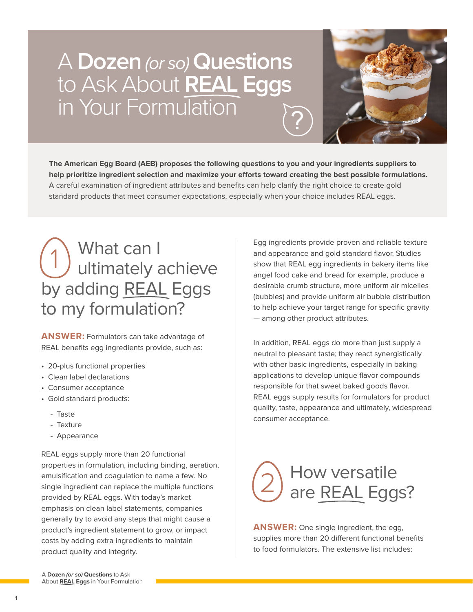# A **Dozen***(or so)***Questions** to Ask About **REAL Eggs** in Your Formulation ?



**The American Egg Board (AEB) proposes the following questions to you and your ingredients suppliers to help prioritize ingredient selection and maximize your efforts toward creating the best possible formulations.**  A careful examination of ingredient attributes and benefits can help clarify the right choice to create gold standard products that meet consumer expectations, especially when your choice includes REAL eggs.

# What can I ultimately achieve by adding REAL Eggs to my formulation? 1

**ANSWER:** Formulators can take advantage of REAL benefits egg ingredients provide, such as:

- 20-plus functional properties
- Clean label declarations
- Consumer acceptance
- Gold standard products:
	- Taste
	- Texture
	- Appearance

REAL eggs supply more than 20 functional properties in formulation, including binding, aeration, emulsification and coagulation to name a few. No single ingredient can replace the multiple functions provided by REAL eggs. With today's market emphasis on clean label statements, companies generally try to avoid any steps that might cause a product's ingredient statement to grow, or impact costs by adding extra ingredients to maintain product quality and integrity.

Egg ingredients provide proven and reliable texture and appearance and gold standard flavor. Studies show that REAL egg ingredients in bakery items like angel food cake and bread for example, produce a desirable crumb structure, more uniform air micelles (bubbles) and provide uniform air bubble distribution to help achieve your target range for specific gravity — among other product attributes.

In addition, REAL eggs do more than just supply a neutral to pleasant taste; they react synergistically with other basic ingredients, especially in baking applications to develop unique flavor compounds responsible for that sweet baked goods flavor. REAL eggs supply results for formulators for product quality, taste, appearance and ultimately, widespread consumer acceptance.



**ANSWER:** One single ingredient, the egg, supplies more than 20 different functional benefits to food formulators. The extensive list includes:

A **Dozen** *(or so)* **Questions** to Ask About **REAL Eggs** in Your Formulation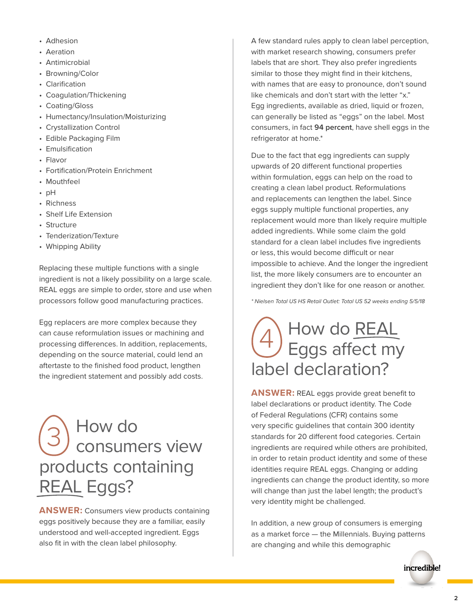- Adhesion
- Aeration
- Antimicrobial
- Browning/Color
- Clarification
- Coagulation/Thickening
- Coating/Gloss
- Humectancy/Insulation/Moisturizing
- Crystallization Control
- Edible Packaging Film
- Emulsification
- Flavor
- Fortification/Protein Enrichment
- Mouthfeel
- pH
- Richness
- Shelf Life Extension
- Structure
- Tenderization/Texture
- Whipping Ability

Replacing these multiple functions with a single ingredient is not a likely possibility on a large scale. REAL eggs are simple to order, store and use when processors follow good manufacturing practices.

Egg replacers are more complex because they can cause reformulation issues or machining and processing differences. In addition, replacements, depending on the source material, could lend an aftertaste to the finished food product, lengthen the ingredient statement and possibly add costs.

# How do consumers view products containing REAL Eggs? 3

**ANSWER:** Consumers view products containing eggs positively because they are a familiar, easily understood and well-accepted ingredient. Eggs also fit in with the clean label philosophy.

A few standard rules apply to clean label perception, with market research showing, consumers prefer labels that are short. They also prefer ingredients similar to those they might find in their kitchens, with names that are easy to pronounce, don't sound like chemicals and don't start with the letter "x." Egg ingredients, available as dried, liquid or frozen, can generally be listed as "eggs" on the label. Most consumers, in fact **94 percent**, have shell eggs in the refrigerator at home.\*

Due to the fact that egg ingredients can supply upwards of 20 different functional properties within formulation, eggs can help on the road to creating a clean label product. Reformulations and replacements can lengthen the label. Since eggs supply multiple functional properties, any replacement would more than likely require multiple added ingredients. While some claim the gold standard for a clean label includes five ingredients or less, this would become difficult or near impossible to achieve. And the longer the ingredient list, the more likely consumers are to encounter an ingredient they don't like for one reason or another.

*\* Nielsen Total US HS Retail Outlet: Total US 52 weeks ending 5/5/18*

# How do REAL  $\left(4\right)$  How do REAL<br>Eggs affect my label declaration?

**ANSWER:** REAL eggs provide great benefit to label declarations or product identity. The Code of Federal Regulations (CFR) contains some very specific guidelines that contain 300 identity standards for 20 different food categories. Certain ingredients are required while others are prohibited, in order to retain product identity and some of these identities require REAL eggs. Changing or adding ingredients can change the product identity, so more will change than just the label length; the product's very identity might be challenged.

In addition, a new group of consumers is emerging as a market force — the Millennials. Buying patterns are changing and while this demographic

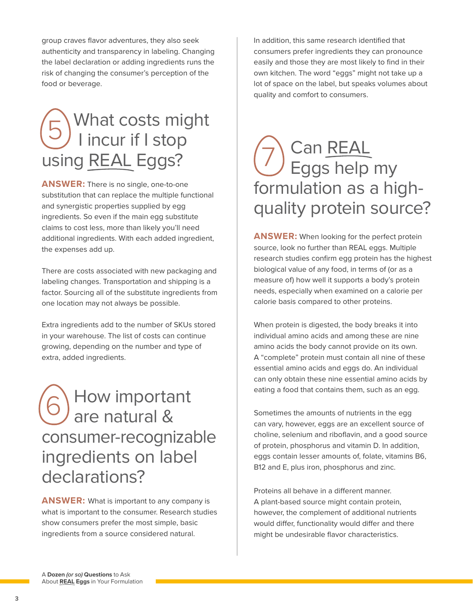group craves flavor adventures, they also seek authenticity and transparency in labeling. Changing the label declaration or adding ingredients runs the risk of changing the consumer's perception of the food or beverage.

#### What costs might I incur if I stop using REAL Eggs? 5

**ANSWER:** There is no single, one-to-one substitution that can replace the multiple functional and synergistic properties supplied by egg ingredients. So even if the main egg substitute claims to cost less, more than likely you'll need additional ingredients. With each added ingredient, the expenses add up.

There are costs associated with new packaging and labeling changes. Transportation and shipping is a factor. Sourcing all of the substitute ingredients from one location may not always be possible.

Extra ingredients add to the number of SKUs stored in your warehouse. The list of costs can continue growing, depending on the number and type of extra, added ingredients.

 How important are natural & consumer-recognizable ingredients on label declarations? 6

**ANSWER:** What is important to any company is what is important to the consumer. Research studies show consumers prefer the most simple, basic ingredients from a source considered natural.

In addition, this same research identified that consumers prefer ingredients they can pronounce easily and those they are most likely to find in their own kitchen. The word "eggs" might not take up a lot of space on the label, but speaks volumes about quality and comfort to consumers.

# Can REAL Eggs help my formulation as a highquality protein source? 7

**ANSWER:** When looking for the perfect protein source, look no further than REAL eggs. Multiple research studies confirm egg protein has the highest biological value of any food, in terms of (or as a measure of) how well it supports a body's protein needs, especially when examined on a calorie per calorie basis compared to other proteins.

When protein is digested, the body breaks it into individual amino acids and among these are nine amino acids the body cannot provide on its own. A "complete" protein must contain all nine of these essential amino acids and eggs do. An individual can only obtain these nine essential amino acids by eating a food that contains them, such as an egg.

Sometimes the amounts of nutrients in the egg can vary, however, eggs are an excellent source of choline, selenium and riboflavin, and a good source of protein, phosphorus and vitamin D. In addition, eggs contain lesser amounts of, folate, vitamins B6, B12 and E, plus iron, phosphorus and zinc.

Proteins all behave in a different manner. A plant-based source might contain protein, however, the complement of additional nutrients would differ, functionality would differ and there might be undesirable flavor characteristics.

A **Dozen** *(or so)* **Questions** to Ask About **REAL Eggs** in Your Formulation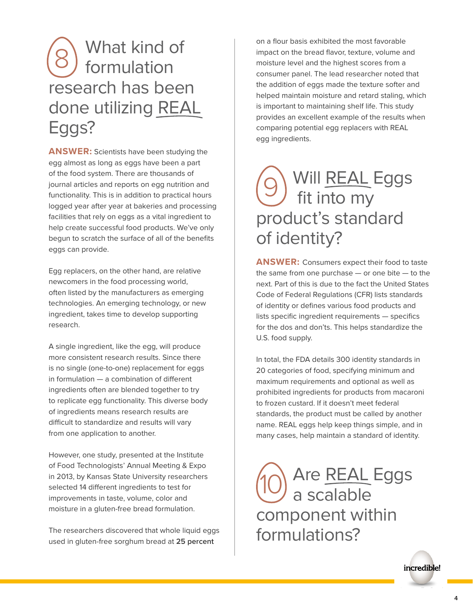# What kind of formulation research has been done utilizing REAL Eggs? 8

**ANSWER:** Scientists have been studying the egg almost as long as eggs have been a part of the food system. There are thousands of journal articles and reports on egg nutrition and functionality. This is in addition to practical hours logged year after year at bakeries and processing facilities that rely on eggs as a vital ingredient to help create successful food products. We've only begun to scratch the surface of all of the benefits eggs can provide.

Egg replacers, on the other hand, are relative newcomers in the food processing world, often listed by the manufacturers as emerging technologies. An emerging technology, or new ingredient, takes time to develop supporting research.

A single ingredient, like the egg, will produce more consistent research results. Since there is no single (one-to-one) replacement for eggs in formulation — a combination of different ingredients often are blended together to try to replicate egg functionality. This diverse body of ingredients means research results are difficult to standardize and results will vary from one application to another.

However, one study, presented at the Institute of Food Technologists' Annual Meeting & Expo in 2013, by Kansas State University researchers selected 14 different ingredients to test for improvements in taste, volume, color and moisture in a gluten-free bread formulation.

The researchers discovered that whole liquid eggs used in gluten-free sorghum bread at **25 percent**

on a flour basis exhibited the most favorable impact on the bread flavor, texture, volume and moisture level and the highest scores from a consumer panel. The lead researcher noted that the addition of eggs made the texture softer and helped maintain moisture and retard staling, which is important to maintaining shelf life. This study provides an excellent example of the results when comparing potential egg replacers with REAL egg ingredients.

# Will REAL Eggs fit into my product's standard of identity? 9

**ANSWER:** Consumers expect their food to taste the same from one purchase  $-$  or one bite  $-$  to the next. Part of this is due to the fact the United States Code of Federal Regulations (CFR) lists standards of identity or defines various food products and lists specific ingredient requirements — specifics for the dos and don'ts. This helps standardize the U.S. food supply.

In total, the FDA details 300 identity standards in 20 categories of food, specifying minimum and maximum requirements and optional as well as prohibited ingredients for products from macaroni to frozen custard. If it doesn't meet federal standards, the product must be called by another name. REAL eggs help keep things simple, and in many cases, help maintain a standard of identity.

Are **REAL** Eggs a scalable component within formulations? 10

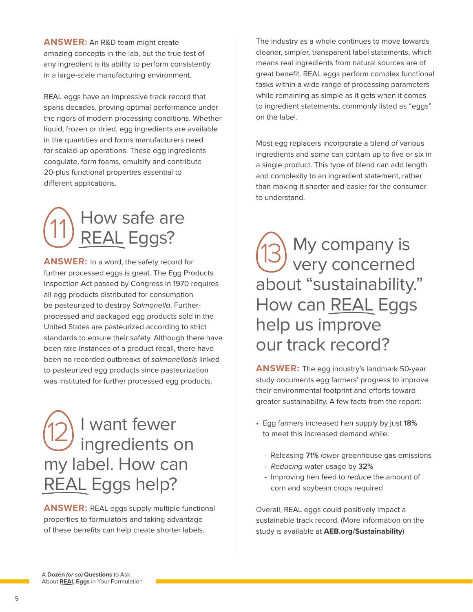**ANSWER:** An R&D team might create amazing concepts in the lab, but the true test of any ingredient is its ability to perform consistently in a large-scale manufacturing environment.

REAL eggs have an impressive track record that spans decades, proving optimal performance under the rigors of modern processing conditions. Whether liquid, frozen or dried, egg ingredients are available in the quantities and forms manufacturers need for scaled-up operations. These egg ingredients coagulate, form foams, emulsify and contribute 20-plus functional properties essential to different applications.



**ANSWER:** In a word, the safety record for further processed eggs is great. The Egg Products Inspection Act passed by Congress in 1970 requires all egg products distributed for consumption be pasteurized to destroy *Salmonella*. Furtherprocessed and packaged egg products sold in the United States are pasteurized according to strict standards to ensure their safety. Although there have been rare instances of a product recall, there have been no recorded outbreaks of *salmonellosis* linked to pasteurized egg products since pasteurization was instituted for further processed egg products.

 I want fewer ingredients on my label. How can REAL Eggs help? 12

**ANSWER:** REAL eggs supply multiple functional properties to formulators and taking advantage of these benefits can help create shorter labels.

The industry as a whole continues to move towards cleaner, simpler, transparent label statements, which means real ingredients from natural sources are of great benefit. REAL eggs perform complex functional tasks within a wide range of processing parameters while remaining as simple as it gets when it comes to ingredient statements, commonly listed as "eggs" on the label.

Most egg replacers incorporate a blend of various ingredients and some can contain up to five or six in a single product. This type of blend can add length and complexity to an ingredient statement, rather than making it shorter and easier for the consumer to understand.

 My company is very concerned about "sustainability." How can REAL Eggs help us improve our track record? 13

**ANSWER:** The egg industry's landmark 50-year study documents egg farmers' progress to improve their environmental footprint and efforts toward greater sustainability. A few facts from the report:

- Egg farmers increased hen supply by just **18%**  to meet this increased demand while:
	- Releasing **71%** *lower* greenhouse gas emissions
	- *Reducing* water usage by **32%**
	- Improving hen feed to *reduce* the amount of corn and soybean crops required

Overall, REAL eggs could positively impact a sustainable track re[cord. \(More information](http://AEB.org/Sustainability) on the study is available at **AEB.org/Sustainability**)

A **Dozen** *(or so)* **Questions** to Ask About **REAL Eggs** in Your Formulation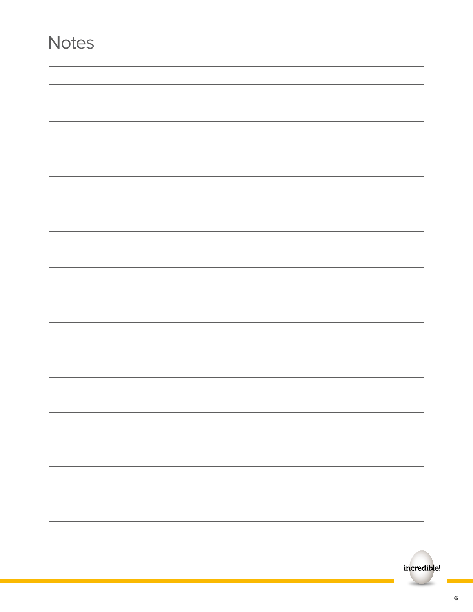| <b>Notes</b> |  |  |   |
|--------------|--|--|---|
|              |  |  |   |
|              |  |  |   |
|              |  |  |   |
|              |  |  |   |
|              |  |  |   |
|              |  |  |   |
|              |  |  |   |
|              |  |  |   |
|              |  |  |   |
|              |  |  |   |
|              |  |  |   |
|              |  |  |   |
|              |  |  |   |
|              |  |  |   |
|              |  |  |   |
|              |  |  |   |
|              |  |  |   |
|              |  |  |   |
|              |  |  |   |
|              |  |  |   |
|              |  |  |   |
|              |  |  |   |
|              |  |  | - |
|              |  |  |   |
|              |  |  |   |
|              |  |  |   |
|              |  |  |   |
|              |  |  |   |
|              |  |  |   |
|              |  |  |   |